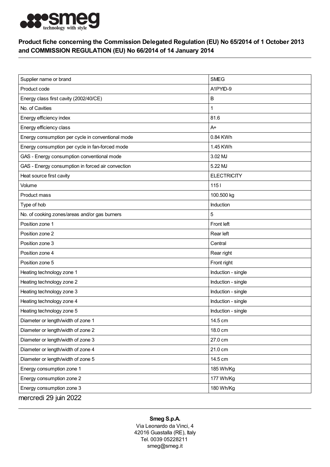

## Product fiche concerning the Commission Delegated Regulation (EU) No 65/2014 of 1 October 2013 and COMMISSION REGULATION (EU) No 66/2014 of 14 January 2014

| Supplier name or brand                            | <b>SMEG</b>        |
|---------------------------------------------------|--------------------|
| Product code                                      | A1PYID-9           |
| Energy class first cavity (2002/40/CE)            | B                  |
| No. of Cavities                                   | 1                  |
| Energy efficiency index                           | 81.6               |
| Energy efficiency class                           | $A+$               |
| Energy consumption per cycle in conventional mode | 0.84 KWh           |
| Energy consumption per cycle in fan-forced mode   | 1.45 KWh           |
| GAS - Energy consumption conventional mode        | 3.02 MJ            |
| GAS - Energy consumption in forced air convection | 5.22 MJ            |
| Heat source first cavity                          | <b>ELECTRICITY</b> |
| Volume                                            | $1151$             |
| Product mass                                      | 100.500 kg         |
| Type of hob                                       | Induction          |
| No. of cooking zones/areas and/or gas burners     | 5                  |
| Position zone 1                                   | Front left         |
| Position zone 2                                   | Rear left          |
| Position zone 3                                   | Central            |
| Position zone 4                                   | Rear right         |
| Position zone 5                                   | Front right        |
| Heating technology zone 1                         | Induction - single |
| Heating technology zone 2                         | Induction - single |
| Heating technology zone 3                         | Induction - single |
| Heating technology zone 4                         | Induction - single |
| Heating technology zone 5                         | Induction - single |
| Diameter or length/width of zone 1                | 14.5 cm            |
| Diameter or length/width of zone 2                | 18.0 cm            |
| Diameter or length/width of zone 3                | 27.0 cm            |
| Diameter or length/width of zone 4                | 21.0 cm            |
| Diameter or length/width of zone 5                | 14.5 cm            |
| Energy consumption zone 1                         | 185 Wh/Kg          |
| Energy consumption zone 2                         | 177 Wh/Kg          |
| Energy consumption zone 3                         | 180 Wh/Kg          |
| mercredi 29 juin 2022                             |                    |

## Smeg S.p.A.

Via Leonardo da Vinci, 4 42016 Guastalla (RE), Italy Tel. 0039 05228211 smeg@smeg.it